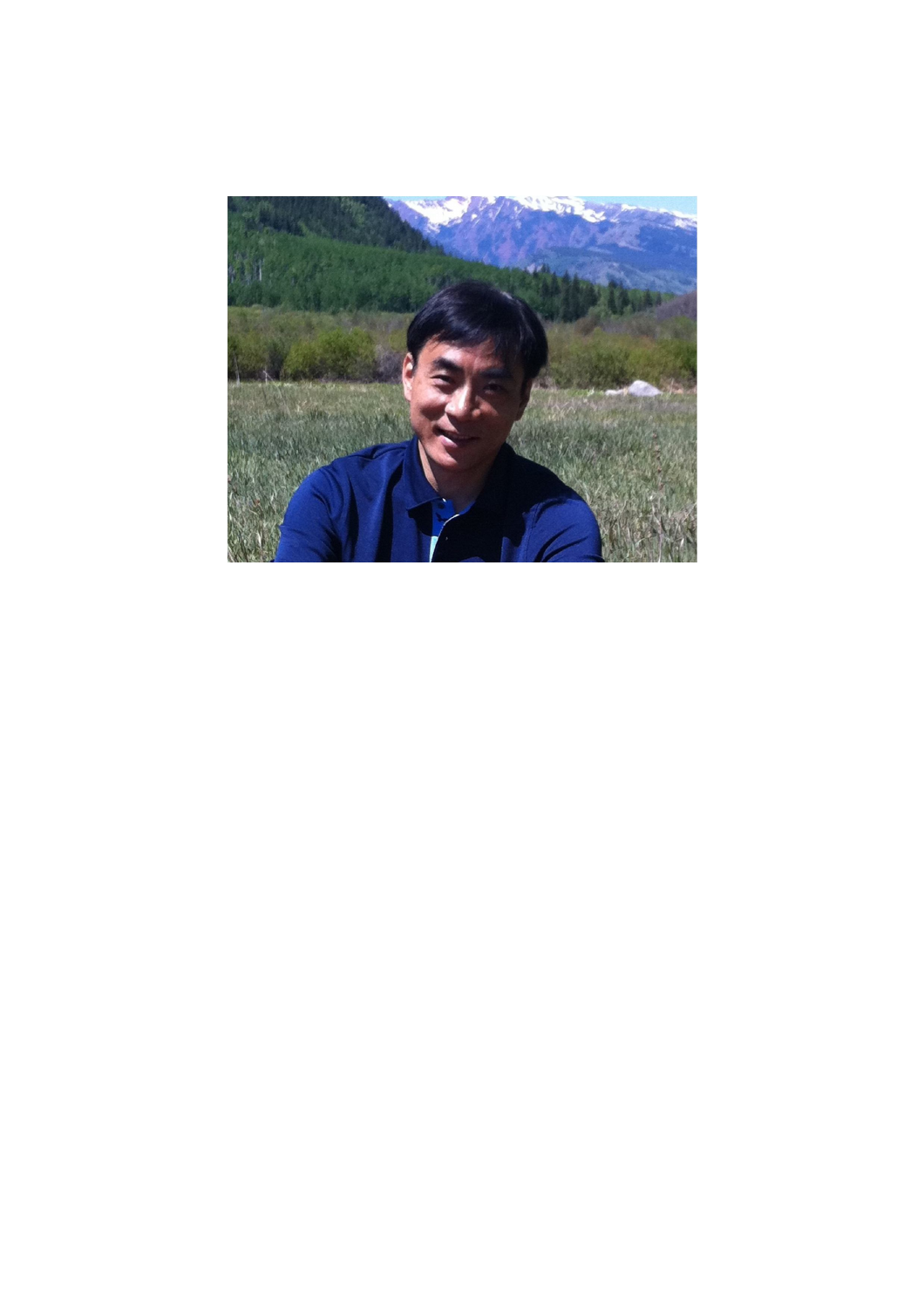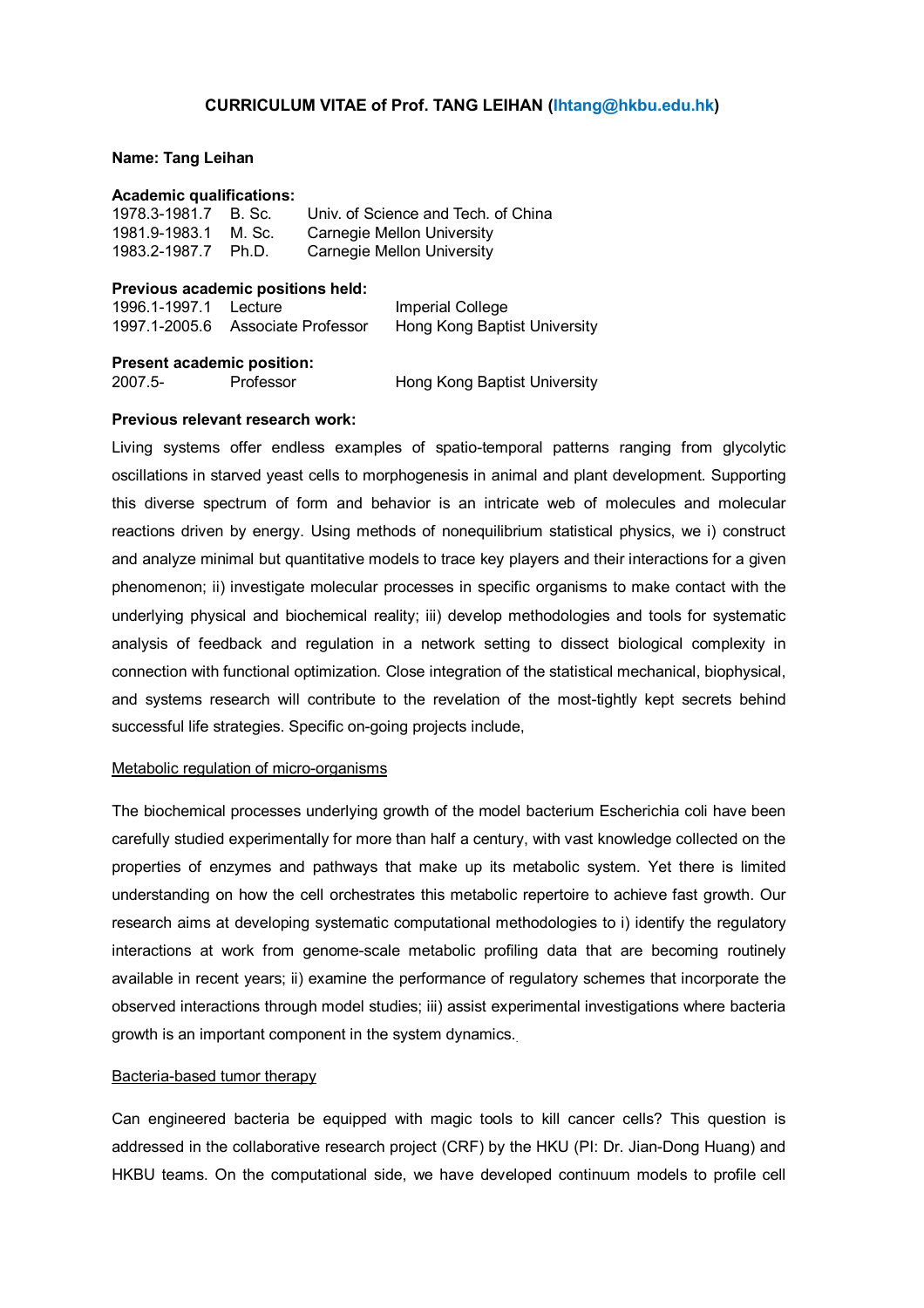# **CURRICULUM VITAE of Prof. TANG LEIHAN (lhtang@hkbu.edu.hk)**

### **Name: Tang Leihan**

#### **Academic qualifications:**

| 1978.3-1981.7 B. Sc. |        | Univ. of Science and Tech. of China |
|----------------------|--------|-------------------------------------|
| 1981.9-1983.1        | M. Sc. | Carnegie Mellon University          |
| 1983.2-1987.7 Ph.D.  |        | Carnegie Mellon University          |

### **Previous academic positions held:**

| 1996.1-1997.1 Lecture |                                   | <b>Imperial College</b>      |
|-----------------------|-----------------------------------|------------------------------|
|                       | 1997.1-2005.6 Associate Professor | Hong Kong Baptist University |

### **Present academic position:**

2007.5- Professor Hong Kong Baptist University

# **Previous relevant research work:**

Living systems offer endless examples of spatio-temporal patterns ranging from glycolytic oscillations in starved yeast cells to morphogenesis in animal and plant development. Supporting this diverse spectrum of form and behavior is an intricate web of molecules and molecular reactions driven by energy. Using methods of nonequilibrium statistical physics, we i) construct and analyze minimal but quantitative models to trace key players and their interactions for a given phenomenon; ii) investigate molecular processes in specific organisms to make contact with the underlying physical and biochemical reality; iii) develop methodologies and tools for systematic analysis of feedback and regulation in a network setting to dissect biological complexity in connection with functional optimization. Close integration of the statistical mechanical, biophysical, and systems research will contribute to the revelation of the most-tightly kept secrets behind successful life strategies. Specific on-going projects include,

### Metabolic regulation of micro-organisms

The biochemical processes underlying growth of the model bacterium Escherichia coli have been carefully studied experimentally for more than half a century, with vast knowledge collected on the properties of enzymes and pathways that make up its metabolic system. Yet there is limited understanding on how the cell orchestrates this metabolic repertoire to achieve fast growth. Our research aims at developing systematic computational methodologies to i) identify the regulatory interactions at work from genome-scale metabolic profiling data that are becoming routinely available in recent years; ii) examine the performance of regulatory schemes that incorporate the observed interactions through model studies; iii) assist experimental investigations where bacteria growth is an important component in the system dynamics..

#### Bacteria-based tumor therapy

Can engineered bacteria be equipped with magic tools to kill cancer cells? This question is addressed in the collaborative research project (CRF) by the HKU (PI: Dr. Jian-Dong Huang) and HKBU teams. On the computational side, we have developed continuum models to profile cell